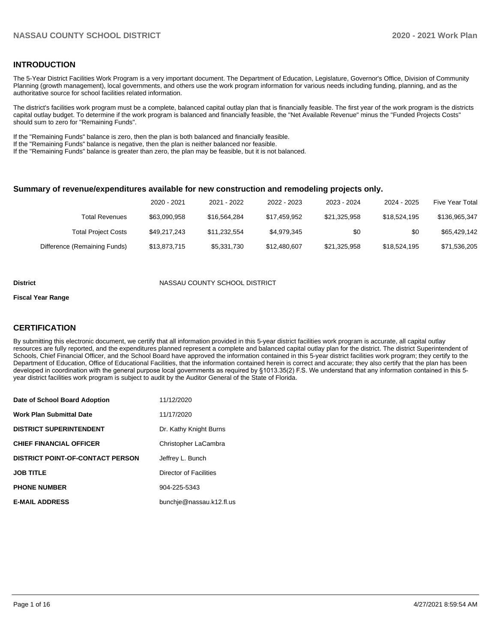## **INTRODUCTION**

The 5-Year District Facilities Work Program is a very important document. The Department of Education, Legislature, Governor's Office, Division of Community Planning (growth management), local governments, and others use the work program information for various needs including funding, planning, and as the authoritative source for school facilities related information.

The district's facilities work program must be a complete, balanced capital outlay plan that is financially feasible. The first year of the work program is the districts capital outlay budget. To determine if the work program is balanced and financially feasible, the "Net Available Revenue" minus the "Funded Projects Costs" should sum to zero for "Remaining Funds".

If the "Remaining Funds" balance is zero, then the plan is both balanced and financially feasible.

If the "Remaining Funds" balance is negative, then the plan is neither balanced nor feasible.

If the "Remaining Funds" balance is greater than zero, the plan may be feasible, but it is not balanced.

#### **Summary of revenue/expenditures available for new construction and remodeling projects only.**

| <b>Five Year Total</b> | 2024 - 2025  | 2023 - 2024  | 2022 - 2023  | 2021 - 2022  | 2020 - 2021  |                              |
|------------------------|--------------|--------------|--------------|--------------|--------------|------------------------------|
| \$136,965,347          | \$18,524,195 | \$21.325.958 | \$17.459.952 | \$16,564,284 | \$63.090.958 | Total Revenues               |
| \$65.429.142           | \$0          | \$0          | \$4.979.345  | \$11.232.554 | \$49.217.243 | <b>Total Project Costs</b>   |
| \$71,536,205           | \$18,524,195 | \$21,325,958 | \$12,480,607 | \$5,331,730  | \$13,873,715 | Difference (Remaining Funds) |

#### **District COUNTY SCHOOL DISTRICT**

#### **Fiscal Year Range**

## **CERTIFICATION**

By submitting this electronic document, we certify that all information provided in this 5-year district facilities work program is accurate, all capital outlay resources are fully reported, and the expenditures planned represent a complete and balanced capital outlay plan for the district. The district Superintendent of Schools, Chief Financial Officer, and the School Board have approved the information contained in this 5-year district facilities work program; they certify to the Department of Education, Office of Educational Facilities, that the information contained herein is correct and accurate; they also certify that the plan has been developed in coordination with the general purpose local governments as required by §1013.35(2) F.S. We understand that any information contained in this 5 year district facilities work program is subject to audit by the Auditor General of the State of Florida.

| Date of School Board Adoption           | 11/12/2020               |
|-----------------------------------------|--------------------------|
| Work Plan Submittal Date                | 11/17/2020               |
| <b>DISTRICT SUPERINTENDENT</b>          | Dr. Kathy Knight Burns   |
| <b>CHIEF FINANCIAL OFFICER</b>          | Christopher LaCambra     |
| <b>DISTRICT POINT-OF-CONTACT PERSON</b> | Jeffrey L. Bunch         |
| <b>JOB TITLE</b>                        | Director of Facilities   |
| <b>PHONE NUMBER</b>                     | 904-225-5343             |
| <b>E-MAIL ADDRESS</b>                   | bunchje@nassau.k12.fl.us |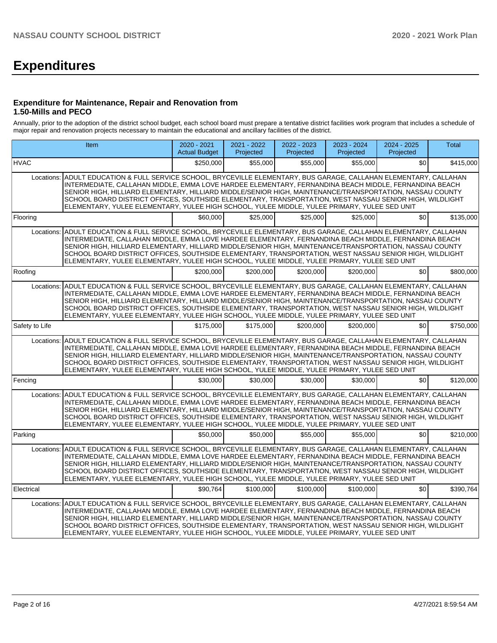# **Expenditures**

## **Expenditure for Maintenance, Repair and Renovation from 1.50-Mills and PECO**

Annually, prior to the adoption of the district school budget, each school board must prepare a tentative district facilities work program that includes a schedule of major repair and renovation projects necessary to maintain the educational and ancillary facilities of the district.

|                | <b>Item</b>                                                                                                                                                                                                                                                                                                                                                                                                                                                                                                                                        | 2020 - 2021<br><b>Actual Budget</b> | 2021 - 2022<br>Projected | 2022 - 2023<br>Projected | 2023 - 2024<br>Projected | 2024 - 2025<br>Projected | <b>Total</b> |
|----------------|----------------------------------------------------------------------------------------------------------------------------------------------------------------------------------------------------------------------------------------------------------------------------------------------------------------------------------------------------------------------------------------------------------------------------------------------------------------------------------------------------------------------------------------------------|-------------------------------------|--------------------------|--------------------------|--------------------------|--------------------------|--------------|
| <b>HVAC</b>    |                                                                                                                                                                                                                                                                                                                                                                                                                                                                                                                                                    | \$250,000                           | \$55,000                 | \$55,000                 | \$55,000                 | \$0                      | \$415,000    |
|                | Locations: ADULT EDUCATION & FULL SERVICE SCHOOL, BRYCEVILLE ELEMENTARY, BUS GARAGE, CALLAHAN ELEMENTARY, CALLAHAN<br>INTERMEDIATE, CALLAHAN MIDDLE, EMMA LOVE HARDEE ELEMENTARY, FERNANDINA BEACH MIDDLE, FERNANDINA BEACH<br>SENIOR HIGH, HILLIARD ELEMENTARY, HILLIARD MIDDLE/SENIOR HIGH, MAINTENANCE/TRANSPORTATION, NASSAU COUNTY<br>SCHOOL BOARD DISTRICT OFFICES, SOUTHSIDE ELEMENTARY, TRANSPORTATION, WEST NASSAU SENIOR HIGH, WILDLIGHT<br>ELEMENTARY, YULEE ELEMENTARY, YULEE HIGH SCHOOL, YULEE MIDDLE, YULEE PRIMARY, YULEE SED UNIT |                                     |                          |                          |                          |                          |              |
| Flooring       |                                                                                                                                                                                                                                                                                                                                                                                                                                                                                                                                                    | \$60,000                            | \$25,000                 | \$25,000                 | \$25,000                 | \$0                      | \$135,000    |
|                | Locations: ADULT EDUCATION & FULL SERVICE SCHOOL, BRYCEVILLE ELEMENTARY, BUS GARAGE, CALLAHAN ELEMENTARY, CALLAHAN<br>INTERMEDIATE, CALLAHAN MIDDLE, EMMA LOVE HARDEE ELEMENTARY, FERNANDINA BEACH MIDDLE, FERNANDINA BEACH<br>SENIOR HIGH, HILLIARD ELEMENTARY, HILLIARD MIDDLE/SENIOR HIGH, MAINTENANCE/TRANSPORTATION, NASSAU COUNTY<br>SCHOOL BOARD DISTRICT OFFICES, SOUTHSIDE ELEMENTARY, TRANSPORTATION, WEST NASSAU SENIOR HIGH, WILDLIGHT<br>ELEMENTARY, YULEE ELEMENTARY, YULEE HIGH SCHOOL, YULEE MIDDLE, YULEE PRIMARY, YULEE SED UNIT |                                     |                          |                          |                          |                          |              |
| Roofing        |                                                                                                                                                                                                                                                                                                                                                                                                                                                                                                                                                    | \$200.000                           | \$200.000                | \$200,000                | \$200.000                | \$0                      | \$800,000    |
|                | Locations: ADULT EDUCATION & FULL SERVICE SCHOOL, BRYCEVILLE ELEMENTARY, BUS GARAGE, CALLAHAN ELEMENTARY, CALLAHAN<br>INTERMEDIATE, CALLAHAN MIDDLE, EMMA LOVE HARDEE ELEMENTARY, FERNANDINA BEACH MIDDLE, FERNANDINA BEACH<br>SENIOR HIGH, HILLIARD ELEMENTARY, HILLIARD MIDDLE/SENIOR HIGH, MAINTENANCE/TRANSPORTATION, NASSAU COUNTY<br>SCHOOL BOARD DISTRICT OFFICES, SOUTHSIDE ELEMENTARY, TRANSPORTATION, WEST NASSAU SENIOR HIGH, WILDLIGHT<br>ELEMENTARY, YULEE ELEMENTARY, YULEE HIGH SCHOOL, YULEE MIDDLE, YULEE PRIMARY, YULEE SED UNIT |                                     |                          |                          |                          |                          |              |
| Safety to Life |                                                                                                                                                                                                                                                                                                                                                                                                                                                                                                                                                    | \$175,000                           | \$175,000                | \$200,000                | \$200,000                | \$0                      | \$750,000    |
| Locations:     | ADULT EDUCATION & FULL SERVICE SCHOOL, BRYCEVILLE ELEMENTARY, BUS GARAGE, CALLAHAN ELEMENTARY, CALLAHAN<br>INTERMEDIATE, CALLAHAN MIDDLE, EMMA LOVE HARDEE ELEMENTARY, FERNANDINA BEACH MIDDLE, FERNANDINA BEACH<br>SENIOR HIGH, HILLIARD ELEMENTARY, HILLIARD MIDDLE/SENIOR HIGH, MAINTENANCE/TRANSPORTATION, NASSAU COUNTY<br>SCHOOL BOARD DISTRICT OFFICES, SOUTHSIDE ELEMENTARY, TRANSPORTATION, WEST NASSAU SENIOR HIGH, WILDLIGHT<br>ELEMENTARY, YULEE ELEMENTARY, YULEE HIGH SCHOOL, YULEE MIDDLE, YULEE PRIMARY, YULEE SED UNIT            |                                     |                          |                          |                          |                          |              |
| Fencing        |                                                                                                                                                                                                                                                                                                                                                                                                                                                                                                                                                    | \$30,000                            | \$30,000                 | \$30,000                 | \$30,000                 | \$0                      | \$120,000    |
| Locations:     | ADULT EDUCATION & FULL SERVICE SCHOOL, BRYCEVILLE ELEMENTARY, BUS GARAGE, CALLAHAN ELEMENTARY, CALLAHAN<br>INTERMEDIATE, CALLAHAN MIDDLE, EMMA LOVE HARDEE ELEMENTARY, FERNANDINA BEACH MIDDLE, FERNANDINA BEACH<br>SENIOR HIGH, HILLIARD ELEMENTARY, HILLIARD MIDDLE/SENIOR HIGH, MAINTENANCE/TRANSPORTATION, NASSAU COUNTY<br>SCHOOL BOARD DISTRICT OFFICES, SOUTHSIDE ELEMENTARY, TRANSPORTATION, WEST NASSAU SENIOR HIGH, WILDLIGHT<br>ELEMENTARY, YULEE ELEMENTARY, YULEE HIGH SCHOOL, YULEE MIDDLE, YULEE PRIMARY, YULEE SED UNIT            |                                     |                          |                          |                          |                          |              |
| Parking        |                                                                                                                                                                                                                                                                                                                                                                                                                                                                                                                                                    | \$50,000                            | \$50,000                 | \$55,000                 | \$55,000                 | \$0                      | \$210,000    |
| Locations:     | ADULT EDUCATION & FULL SERVICE SCHOOL, BRYCEVILLE ELEMENTARY, BUS GARAGE, CALLAHAN ELEMENTARY, CALLAHAN<br>INTERMEDIATE, CALLAHAN MIDDLE, EMMA LOVE HARDEE ELEMENTARY, FERNANDINA BEACH MIDDLE, FERNANDINA BEACH<br>SENIOR HIGH. HILLIARD ELEMENTARY. HILLIARD MIDDLE/SENIOR HIGH. MAINTENANCE/TRANSPORTATION. NASSAU COUNTY<br>SCHOOL BOARD DISTRICT OFFICES, SOUTHSIDE ELEMENTARY, TRANSPORTATION, WEST NASSAU SENIOR HIGH, WILDLIGHT<br>ELEMENTARY, YULEE ELEMENTARY, YULEE HIGH SCHOOL, YULEE MIDDLE, YULEE PRIMARY, YULEE SED UNIT            |                                     |                          |                          |                          |                          |              |
| Electrical     |                                                                                                                                                                                                                                                                                                                                                                                                                                                                                                                                                    | \$90.764                            | \$100,000                | \$100,000                | \$100.000                | \$0                      | \$390,764    |
|                | Locations: ADULT EDUCATION & FULL SERVICE SCHOOL. BRYCEVILLE ELEMENTARY. BUS GARAGE. CALLAHAN ELEMENTARY. CALLAHAN<br>INTERMEDIATE, CALLAHAN MIDDLE, EMMA LOVE HARDEE ELEMENTARY, FERNANDINA BEACH MIDDLE, FERNANDINA BEACH<br>SENIOR HIGH, HILLIARD ELEMENTARY, HILLIARD MIDDLE/SENIOR HIGH, MAINTENANCE/TRANSPORTATION, NASSAU COUNTY<br>SCHOOL BOARD DISTRICT OFFICES, SOUTHSIDE ELEMENTARY, TRANSPORTATION, WEST NASSAU SENIOR HIGH, WILDLIGHT<br>ELEMENTARY, YULEE ELEMENTARY, YULEE HIGH SCHOOL, YULEE MIDDLE, YULEE PRIMARY, YULEE SED UNIT |                                     |                          |                          |                          |                          |              |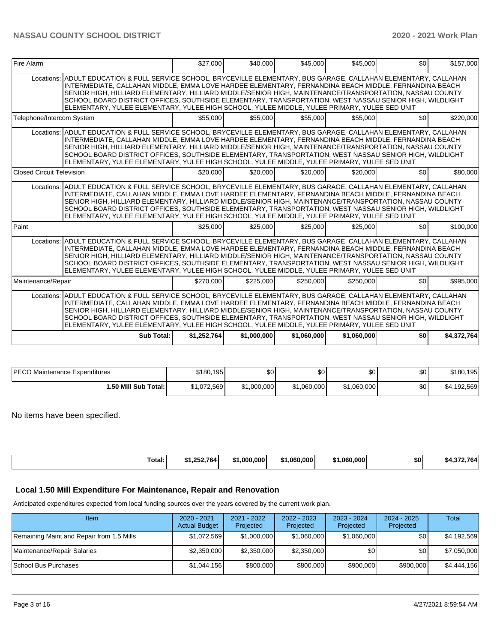## **NASSAU COUNTY SCHOOL DISTRICT 2020 - 2021 Work Plan**

| Fire Alarm                       |                                                                                                                                                                                                                                                                                                                                                                                                                                                                                                                                                    | \$27,000    | \$40,000    | \$45,000    | \$45,000    | \$0 | \$157,000   |
|----------------------------------|----------------------------------------------------------------------------------------------------------------------------------------------------------------------------------------------------------------------------------------------------------------------------------------------------------------------------------------------------------------------------------------------------------------------------------------------------------------------------------------------------------------------------------------------------|-------------|-------------|-------------|-------------|-----|-------------|
|                                  | Locations: ADULT EDUCATION & FULL SERVICE SCHOOL, BRYCEVILLE ELEMENTARY, BUS GARAGE, CALLAHAN ELEMENTARY, CALLAHAN<br>INTERMEDIATE, CALLAHAN MIDDLE, EMMA LOVE HARDEE ELEMENTARY, FERNANDINA BEACH MIDDLE, FERNANDINA BEACH<br>SENIOR HIGH, HILLIARD ELEMENTARY, HILLIARD MIDDLE/SENIOR HIGH, MAINTENANCE/TRANSPORTATION, NASSAU COUNTY<br>SCHOOL BOARD DISTRICT OFFICES, SOUTHSIDE ELEMENTARY, TRANSPORTATION, WEST NASSAU SENIOR HIGH, WILDLIGHT<br>ELEMENTARY, YULEE ELEMENTARY, YULEE HIGH SCHOOL, YULEE MIDDLE, YULEE PRIMARY, YULEE SED UNIT |             |             |             |             |     |             |
| Telephone/Intercom System        |                                                                                                                                                                                                                                                                                                                                                                                                                                                                                                                                                    | \$55,000    | \$55,000    | \$55,000    | \$55,000    | \$0 | \$220,000   |
|                                  | Locations: ADULT EDUCATION & FULL SERVICE SCHOOL, BRYCEVILLE ELEMENTARY, BUS GARAGE, CALLAHAN ELEMENTARY, CALLAHAN<br>INTERMEDIATE, CALLAHAN MIDDLE, EMMA LOVE HARDEE ELEMENTARY, FERNANDINA BEACH MIDDLE, FERNANDINA BEACH<br>SENIOR HIGH, HILLIARD ELEMENTARY, HILLIARD MIDDLE/SENIOR HIGH, MAINTENANCE/TRANSPORTATION, NASSAU COUNTY<br>SCHOOL BOARD DISTRICT OFFICES, SOUTHSIDE ELEMENTARY, TRANSPORTATION, WEST NASSAU SENIOR HIGH, WILDLIGHT<br>ELEMENTARY, YULEE ELEMENTARY, YULEE HIGH SCHOOL, YULEE MIDDLE, YULEE PRIMARY, YULEE SED UNIT |             |             |             |             |     |             |
| <b>Closed Circuit Television</b> |                                                                                                                                                                                                                                                                                                                                                                                                                                                                                                                                                    | \$20,000    | \$20,000    | \$20,000    | \$20,000    | \$0 | \$80,000    |
|                                  | Locations: ADULT EDUCATION & FULL SERVICE SCHOOL, BRYCEVILLE ELEMENTARY, BUS GARAGE, CALLAHAN ELEMENTARY, CALLAHAN<br>INTERMEDIATE. CALLAHAN MIDDLE. EMMA LOVE HARDEE ELEMENTARY. FERNANDINA BEACH MIDDLE. FERNANDINA BEACH<br>SENIOR HIGH, HILLIARD ELEMENTARY, HILLIARD MIDDLE/SENIOR HIGH, MAINTENANCE/TRANSPORTATION, NASSAU COUNTY<br>SCHOOL BOARD DISTRICT OFFICES, SOUTHSIDE ELEMENTARY, TRANSPORTATION, WEST NASSAU SENIOR HIGH, WILDLIGHT<br>ELEMENTARY, YULEE ELEMENTARY, YULEE HIGH SCHOOL, YULEE MIDDLE, YULEE PRIMARY, YULEE SED UNIT |             |             |             |             |     |             |
| Paint                            |                                                                                                                                                                                                                                                                                                                                                                                                                                                                                                                                                    | \$25,000    | \$25,000    | \$25,000    | \$25,000    | \$0 | \$100,000   |
|                                  | Locations: ADULT EDUCATION & FULL SERVICE SCHOOL, BRYCEVILLE ELEMENTARY, BUS GARAGE, CALLAHAN ELEMENTARY, CALLAHAN<br>INTERMEDIATE, CALLAHAN MIDDLE, EMMA LOVE HARDEE ELEMENTARY, FERNANDINA BEACH MIDDLE, FERNANDINA BEACH<br>SENIOR HIGH, HILLIARD ELEMENTARY, HILLIARD MIDDLE/SENIOR HIGH, MAINTENANCE/TRANSPORTATION, NASSAU COUNTY<br>SCHOOL BOARD DISTRICT OFFICES, SOUTHSIDE ELEMENTARY, TRANSPORTATION, WEST NASSAU SENIOR HIGH, WILDLIGHT<br>ELEMENTARY, YULEE ELEMENTARY, YULEE HIGH SCHOOL, YULEE MIDDLE, YULEE PRIMARY, YULEE SED UNIT |             |             |             |             |     |             |
| Maintenance/Repair               |                                                                                                                                                                                                                                                                                                                                                                                                                                                                                                                                                    | \$270.000   | \$225.000   | \$250.000   | \$250.000   | \$0 | \$995.000   |
|                                  | Locations: ADULT EDUCATION & FULL SERVICE SCHOOL, BRYCEVILLE ELEMENTARY, BUS GARAGE, CALLAHAN ELEMENTARY, CALLAHAN<br>INTERMEDIATE, CALLAHAN MIDDLE, EMMA LOVE HARDEE ELEMENTARY, FERNANDINA BEACH MIDDLE, FERNANDINA BEACH<br>SENIOR HIGH, HILLIARD ELEMENTARY, HILLIARD MIDDLE/SENIOR HIGH, MAINTENANCE/TRANSPORTATION, NASSAU COUNTY<br>SCHOOL BOARD DISTRICT OFFICES, SOUTHSIDE ELEMENTARY, TRANSPORTATION, WEST NASSAU SENIOR HIGH, WILDLIGHT<br>ELEMENTARY, YULEE ELEMENTARY, YULEE HIGH SCHOOL, YULEE MIDDLE, YULEE PRIMARY, YULEE SED UNIT |             |             |             |             |     |             |
|                                  | Sub Total:                                                                                                                                                                                                                                                                                                                                                                                                                                                                                                                                         | \$1,252,764 | \$1,000,000 | \$1,060,000 | \$1,060,000 | \$0 | \$4,372,764 |

| <b>IPECO Maintenance Expenditures</b> | \$180,195   | \$0 I       | \$0         | ا 30        | \$0 | \$180,195   |
|---------------------------------------|-------------|-------------|-------------|-------------|-----|-------------|
| 1.50 Mill Sub Total: I                | \$1,072,569 | \$1,000,000 | \$1,060,000 | \$1,060,000 | \$0 | \$4,192,569 |

No items have been specified.

| 764<br>.000.000<br>.25 <sub>c</sub><br>Total: | .060.000<br>. .<br>- 12 I | .060.000 | \$0 | 764 |
|-----------------------------------------------|---------------------------|----------|-----|-----|

## **Local 1.50 Mill Expenditure For Maintenance, Repair and Renovation**

Anticipated expenditures expected from local funding sources over the years covered by the current work plan.

| Item                                      | 2020 - 2021<br><b>Actual Budget</b> | $2021 - 2022$<br>Projected | 2022 - 2023<br>Projected | 2023 - 2024<br>Projected | 2024 - 2025<br>Projected | Total       |
|-------------------------------------------|-------------------------------------|----------------------------|--------------------------|--------------------------|--------------------------|-------------|
| Remaining Maint and Repair from 1.5 Mills | \$1,072,569                         | \$1,000,000                | \$1,060,000              | \$1,060,000              | \$0                      | \$4,192,569 |
| Maintenance/Repair Salaries               | \$2,350,000                         | \$2,350,000                | \$2,350,000              | \$0                      | \$0                      | \$7,050,000 |
| School Bus Purchases                      | \$1,044,156                         | \$800,000                  | \$800,000                | \$900,000                | \$900,000                | \$4,444,156 |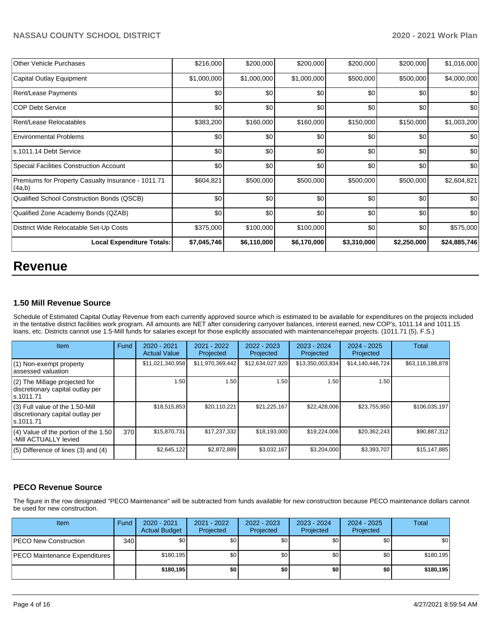| Other Vehicle Purchases                                      | \$216,000   | \$200,000   | \$200,000   | \$200,000   | \$200,000   | \$1,016,000  |
|--------------------------------------------------------------|-------------|-------------|-------------|-------------|-------------|--------------|
| Capital Outlay Equipment                                     | \$1,000,000 | \$1,000,000 | \$1,000,000 | \$500,000   | \$500,000   | \$4,000,000  |
| <b>Rent/Lease Payments</b>                                   | \$0         | \$0         | \$0         | \$0         | \$0         | \$0          |
| <b>COP Debt Service</b>                                      | \$0         | \$0         | \$0         | \$0         | \$0         | \$0          |
| Rent/Lease Relocatables                                      | \$383,200   | \$160,000   | \$160,000   | \$150,000   | \$150,000   | \$1,003,200  |
| Environmental Problems                                       | \$0         | \$0         | \$0         | \$0         | \$0         | \$0          |
| s.1011.14 Debt Service                                       | \$0         | \$0         | \$0         | \$0         | \$0         | \$0          |
| Special Facilities Construction Account                      | \$0         | \$0         | \$0         | \$0         | \$0         | \$0          |
| Premiums for Property Casualty Insurance - 1011.71<br>(4a,b) | \$604,821   | \$500,000   | \$500,000   | \$500,000   | \$500,000   | \$2,604,821  |
| Qualified School Construction Bonds (QSCB)                   | \$0         | \$0         | \$0         | \$0         | \$0         | \$0          |
| Qualified Zone Academy Bonds (QZAB)                          | \$0         | \$0         | \$0         | \$0         | \$0         | \$0          |
| Disttrict Wide Relocatable Set-Up Costs                      | \$375,000   | \$100,000   | \$100,000   | \$0         | \$0         | \$575,000    |
| <b>Local Expenditure Totals:</b>                             | \$7,045,746 | \$6,110,000 | \$6,170,000 | \$3,310,000 | \$2,250,000 | \$24,885,746 |

## **Revenue**

## **1.50 Mill Revenue Source**

Schedule of Estimated Capital Outlay Revenue from each currently approved source which is estimated to be available for expenditures on the projects included in the tentative district facilities work program. All amounts are NET after considering carryover balances, interest earned, new COP's, 1011.14 and 1011.15 loans, etc. Districts cannot use 1.5-Mill funds for salaries except for those explicitly associated with maintenance/repair projects. (1011.71 (5), F.S.)

| <b>Item</b>                                                                         | <b>Fund</b> | 2020 - 2021<br><b>Actual Value</b> | $2021 - 2022$<br>Projected | 2022 - 2023<br>Projected | 2023 - 2024<br>Projected | $2024 - 2025$<br>Projected | Total            |
|-------------------------------------------------------------------------------------|-------------|------------------------------------|----------------------------|--------------------------|--------------------------|----------------------------|------------------|
| $(1)$ Non-exempt property<br>lassessed valuation                                    |             | \$11,021,340,958                   | \$11,970,369,442           | \$12,634,027,920         | \$13,350,003,834         | \$14,140,446,724           | \$63,116,188,878 |
| (2) The Millage projected for<br>discretionary capital outlay per<br>ls.1011.71     |             | 1.50                               | 1.50                       | 1.50                     | 1.50                     | 1.50                       |                  |
| $(3)$ Full value of the 1.50-Mill<br>discretionary capital outlay per<br>ls.1011.71 |             | \$18,515,853                       | \$20,110,221               | \$21,225,167             | \$22,428,006             | \$23,755,950               | \$106,035,197    |
| $(4)$ Value of the portion of the 1.50<br>-Mill ACTUALLY levied                     | 370         | \$15,870,731                       | \$17,237,332               | \$18,193,000             | \$19,224,006             | \$20,362,243               | \$90,887,312     |
| $(5)$ Difference of lines $(3)$ and $(4)$                                           |             | \$2,645,122                        | \$2,872,889                | \$3,032,167              | \$3,204,000              | \$3,393,707                | \$15,147,885     |

## **PECO Revenue Source**

The figure in the row designated "PECO Maintenance" will be subtracted from funds available for new construction because PECO maintenance dollars cannot be used for new construction.

| Item                          | Fund | 2020 - 2021<br><b>Actual Budget</b> | 2021 - 2022<br>Projected | 2022 - 2023<br>Projected | 2023 - 2024<br>Projected | $2024 - 2025$<br>Projected | Total      |
|-------------------------------|------|-------------------------------------|--------------------------|--------------------------|--------------------------|----------------------------|------------|
| PECO New Construction         | 340  | \$0                                 | \$0                      | \$0                      | \$0 <sub>1</sub>         | \$0 <sub>1</sub>           | \$0        |
| PECO Maintenance Expenditures |      | \$180,195                           | \$0 <sub>1</sub>         | \$0                      | \$0 <sub>1</sub>         | \$0 <sub>1</sub>           | \$180, 195 |
|                               |      | \$180,195                           | \$0                      | \$0                      | \$0                      | \$0                        | \$180,195  |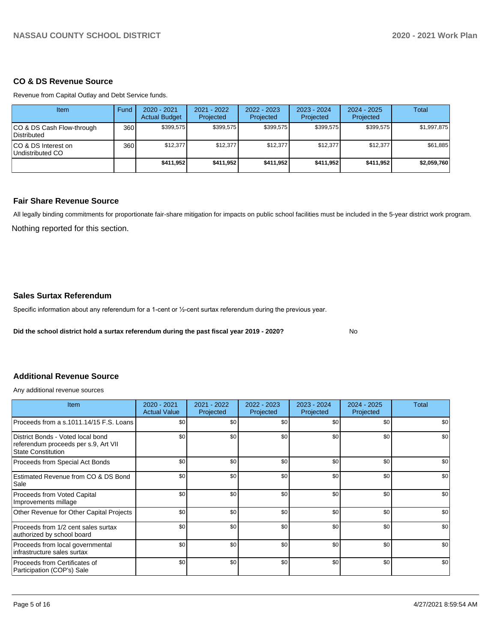## **CO & DS Revenue Source**

Revenue from Capital Outlay and Debt Service funds.

| Item                                            | Fund | $2020 - 2021$<br><b>Actual Budget</b> | 2021 - 2022<br>Projected | 2022 - 2023<br>Projected | $2023 - 2024$<br>Projected | $2024 - 2025$<br>Projected | Total       |
|-------------------------------------------------|------|---------------------------------------|--------------------------|--------------------------|----------------------------|----------------------------|-------------|
| CO & DS Cash Flow-through<br><b>Distributed</b> | 360  | \$399,575                             | \$399,575                | \$399,575                | \$399,575                  | \$399,575                  | \$1,997,875 |
| CO & DS Interest on<br>Undistributed CO         | 360  | \$12,377                              | \$12.377                 | \$12,377                 | \$12,377                   | \$12,377                   | \$61,885    |
|                                                 |      | \$411,952                             | \$411,952                | \$411,952                | \$411,952                  | \$411,952                  | \$2,059,760 |

## **Fair Share Revenue Source**

Nothing reported for this section. All legally binding commitments for proportionate fair-share mitigation for impacts on public school facilities must be included in the 5-year district work program.

## **Sales Surtax Referendum**

Specific information about any referendum for a 1-cent or 1/2-cent surtax referendum during the previous year.

**Did the school district hold a surtax referendum during the past fiscal year 2019 - 2020?**

No

## **Additional Revenue Source**

Any additional revenue sources

| Item                                                                                                   | 2020 - 2021<br><b>Actual Value</b> | 2021 - 2022<br>Projected | 2022 - 2023<br>Projected | 2023 - 2024<br>Projected | 2024 - 2025<br>Projected | Total |
|--------------------------------------------------------------------------------------------------------|------------------------------------|--------------------------|--------------------------|--------------------------|--------------------------|-------|
| Proceeds from a s.1011.14/15 F.S. Loans                                                                | \$0 <sub>1</sub>                   | \$0                      | \$0                      | \$0                      | \$0                      | \$0   |
| District Bonds - Voted local bond<br>referendum proceeds per s.9, Art VII<br><b>State Constitution</b> | \$0                                | \$0                      | \$0                      | \$0                      | \$0                      | \$0   |
| Proceeds from Special Act Bonds                                                                        | \$0                                | \$0                      | \$0                      | \$0                      | \$0                      | \$0   |
| Estimated Revenue from CO & DS Bond<br>Sale                                                            | \$0                                | \$0                      | \$0                      | \$0                      | \$0                      | \$0   |
| Proceeds from Voted Capital<br>Improvements millage                                                    | \$0                                | \$0                      | \$0                      | \$0                      | \$0                      | \$0   |
| Other Revenue for Other Capital Projects                                                               | \$0                                | \$0                      | \$0                      | \$0                      | \$0                      | \$0   |
| Proceeds from 1/2 cent sales surtax<br>authorized by school board                                      | \$0                                | \$0                      | \$0                      | \$0                      | \$0                      | \$0   |
| Proceeds from local governmental<br>infrastructure sales surtax                                        | \$0                                | \$0                      | \$0                      | \$0                      | \$0                      | \$0   |
| Proceeds from Certificates of<br>Participation (COP's) Sale                                            | \$0                                | \$0                      | \$0                      | \$0                      | \$0                      | \$0   |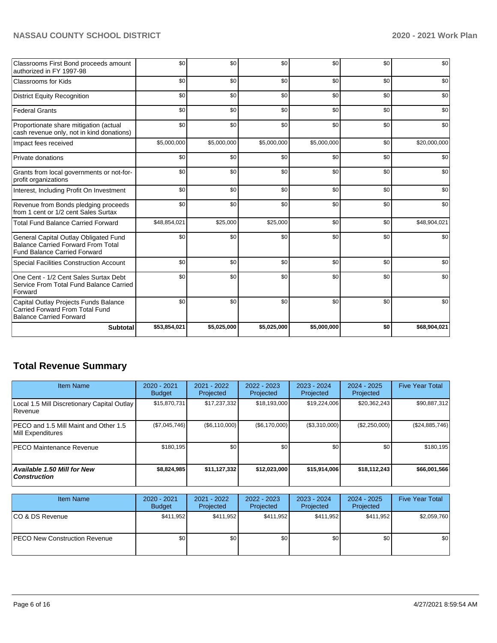## **NASSAU COUNTY SCHOOL DISTRICT 2020 - 2021 Work Plan**

| Classrooms First Bond proceeds amount<br>authorized in FY 1997-98                                                         | \$0          | \$0         | \$0         | \$0         | \$0 | \$0          |
|---------------------------------------------------------------------------------------------------------------------------|--------------|-------------|-------------|-------------|-----|--------------|
| <b>Classrooms for Kids</b>                                                                                                | \$0          | \$0         | \$0         | \$0         | \$0 | \$0          |
| <b>District Equity Recognition</b>                                                                                        | \$0          | \$0         | \$0         | \$0         | \$0 | \$0          |
| <b>Federal Grants</b>                                                                                                     | \$0          | \$0         | \$0         | \$0         | \$0 | \$0          |
| Proportionate share mitigation (actual<br>cash revenue only, not in kind donations)                                       | \$0          | \$0         | \$0         | \$0         | \$0 | \$0          |
| Impact fees received                                                                                                      | \$5,000,000  | \$5,000,000 | \$5,000,000 | \$5,000,000 | \$0 | \$20,000,000 |
| Private donations                                                                                                         | \$0          | \$0         | \$0         | \$0         | \$0 | \$0          |
| Grants from local governments or not-for-<br>profit organizations                                                         | \$0          | \$0         | \$0         | \$0         | \$0 | \$0          |
| Interest, Including Profit On Investment                                                                                  | \$0          | \$0         | \$0         | \$0         | \$0 | \$0          |
| Revenue from Bonds pledging proceeds<br>from 1 cent or 1/2 cent Sales Surtax                                              | \$0          | \$0         | \$0         | \$0         | \$0 | \$0          |
| <b>Total Fund Balance Carried Forward</b>                                                                                 | \$48,854,021 | \$25,000    | \$25,000    | \$0         | \$0 | \$48,904,021 |
| General Capital Outlay Obligated Fund<br><b>Balance Carried Forward From Total</b><br><b>Fund Balance Carried Forward</b> | \$0          | \$0         | \$0         | \$0         | \$0 | \$0          |
| Special Facilities Construction Account                                                                                   | \$0          | \$0         | \$0         | \$0         | \$0 | \$0          |
| One Cent - 1/2 Cent Sales Surtax Debt<br>Service From Total Fund Balance Carried<br>Forward                               | \$0          | \$0         | \$0         | \$0         | \$0 | \$0          |
| Capital Outlay Projects Funds Balance<br><b>Carried Forward From Total Fund</b><br><b>Balance Carried Forward</b>         | \$0          | \$0         | \$0         | \$0         | \$0 | \$0          |
| <b>Subtotal</b>                                                                                                           | \$53,854,021 | \$5,025,000 | \$5,025,000 | \$5,000,000 | \$0 | \$68,904,021 |

## **Total Revenue Summary**

| <b>Item Name</b>                                            | 2020 - 2021<br><b>Budget</b> | $2021 - 2022$<br>Projected | 2022 - 2023<br>Projected | $2023 - 2024$<br>Projected | 2024 - 2025<br>Projected | <b>Five Year Total</b> |
|-------------------------------------------------------------|------------------------------|----------------------------|--------------------------|----------------------------|--------------------------|------------------------|
| Local 1.5 Mill Discretionary Capital Outlay<br>Revenue      | \$15,870,731                 | \$17,237,332               | \$18,193,000             | \$19,224,006               | \$20,362,243             | \$90,887,312           |
| IPECO and 1.5 Mill Maint and Other 1.5<br>Mill Expenditures | (\$7,045,746)                | (S6, 110, 000)             | (\$6,170,000)            | (\$3,310,000)              | (\$2,250,000)            | (\$24,885,746)         |
| <b>PECO Maintenance Revenue</b>                             | \$180.195                    | \$0                        | \$0                      | \$0                        | \$0                      | \$180, 195             |
| Available 1.50 Mill for New<br><b>Construction</b>          | \$8,824,985                  | \$11,127,332               | \$12,023,000             | \$15,914,006               | \$18,112,243             | \$66,001,566           |

| <b>Item Name</b>                      | 2020 - 2021<br><b>Budget</b> | 2021 - 2022<br>Projected | 2022 - 2023<br>Projected | 2023 - 2024<br>Projected | 2024 - 2025<br>Projected | <b>Five Year Total</b> |
|---------------------------------------|------------------------------|--------------------------|--------------------------|--------------------------|--------------------------|------------------------|
| ICO & DS Revenue                      | \$411,952                    | \$411,952                | \$411.952                | \$411.952                | \$411.952                | \$2,059,760            |
| <b>IPECO New Construction Revenue</b> | \$0 <sub>1</sub>             | \$0                      | \$0                      | \$0                      | \$0 <sub>1</sub>         | \$0                    |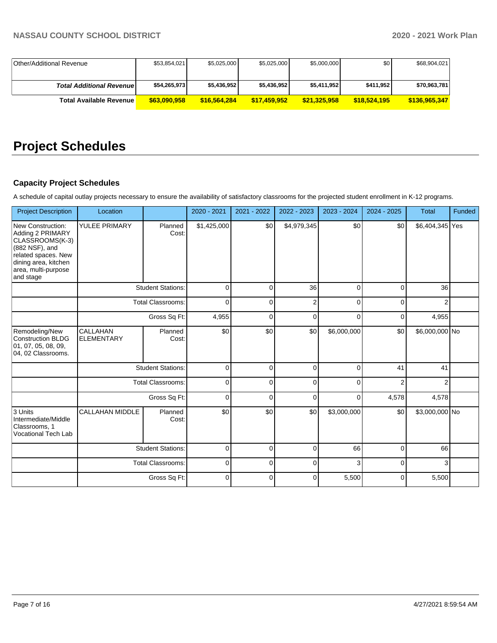| Other/Additional Revenue        | \$53,854,021 | \$5,025,000  | \$5,025,000  | \$5,000,000  | \$0          | \$68,904,021  |
|---------------------------------|--------------|--------------|--------------|--------------|--------------|---------------|
|                                 |              |              |              |              |              |               |
| <b>Total Additional Revenue</b> | \$54,265,973 | \$5,436,952  | \$5,436,952  | \$5,411,952  | \$411,952    | \$70,963,781  |
| Total Available Revenue I       | \$63,090,958 | \$16,564,284 | \$17.459.952 | \$21,325,958 | \$18.524.195 | \$136,965,347 |

# **Project Schedules**

## **Capacity Project Schedules**

A schedule of capital outlay projects necessary to ensure the availability of satisfactory classrooms for the projected student enrollment in K-12 programs.

| <b>Project Description</b>                                                                                                                                    | Location                      |                          | 2020 - 2021 | 2021 - 2022 | 2022 - 2023    | 2023 - 2024 | 2024 - 2025    | Total           | Funded |
|---------------------------------------------------------------------------------------------------------------------------------------------------------------|-------------------------------|--------------------------|-------------|-------------|----------------|-------------|----------------|-----------------|--------|
| New Construction:<br>Adding 2 PRIMARY<br>CLASSROOMS(K-3)<br>(882 NSF), and<br>related spaces. New<br>dining area, kitchen<br>area, multi-purpose<br>and stage | YULEE PRIMARY                 | Planned<br>Cost:         | \$1,425,000 | \$0         | \$4,979,345    | \$0         | \$0            | \$6,404,345 Yes |        |
|                                                                                                                                                               |                               | <b>Student Stations:</b> | $\mathbf 0$ | $\mathbf 0$ | 36             | $\mathbf 0$ | 0              | 36              |        |
|                                                                                                                                                               |                               | <b>Total Classrooms:</b> | $\Omega$    | $\mathbf 0$ | $\overline{2}$ | $\Omega$    | $\Omega$       | $\overline{2}$  |        |
|                                                                                                                                                               |                               | Gross Sq Ft:             | 4,955       | $\mathbf 0$ | $\mathbf 0$    | 0           | $\Omega$       | 4,955           |        |
| Remodeling/New<br><b>Construction BLDG</b><br> 01, 07, 05, 08, 09,<br>04, 02 Classrooms.                                                                      | CALLAHAN<br><b>ELEMENTARY</b> | Planned<br>Cost:         | \$0         | \$0         | \$0            | \$6,000,000 | \$0            | \$6,000,000 No  |        |
|                                                                                                                                                               |                               | <b>Student Stations:</b> | $\mathbf 0$ | $\Omega$    | $\mathbf 0$    | 0           | 41             | 41              |        |
|                                                                                                                                                               |                               | <b>Total Classrooms:</b> | $\mathbf 0$ | $\Omega$    | $\mathbf 0$    | $\Omega$    | $\overline{2}$ | 2               |        |
|                                                                                                                                                               |                               | Gross Sq Ft:             | $\Omega$    | $\Omega$    | $\Omega$       | 0           | 4,578          | 4,578           |        |
| 3 Units<br>Intermediate/Middle<br>Classrooms. 1<br><b>Vocational Tech Lab</b>                                                                                 | <b>CALLAHAN MIDDLE</b>        | Planned<br>Cost:         | \$0         | \$0         | \$0            | \$3,000,000 | \$0            | \$3,000,000 No  |        |
|                                                                                                                                                               |                               | <b>Student Stations:</b> | $\Omega$    | $\Omega$    | $\Omega$       | 66          | $\Omega$       | 66              |        |
|                                                                                                                                                               | Total Classrooms:             |                          | $\mathbf 0$ | $\Omega$    | $\mathbf 0$    | 3           | $\Omega$       | 3               |        |
|                                                                                                                                                               |                               | Gross Sq Ft:             | $\mathbf 0$ | $\Omega$    | $\mathbf 0$    | 5,500       | $\Omega$       | 5,500           |        |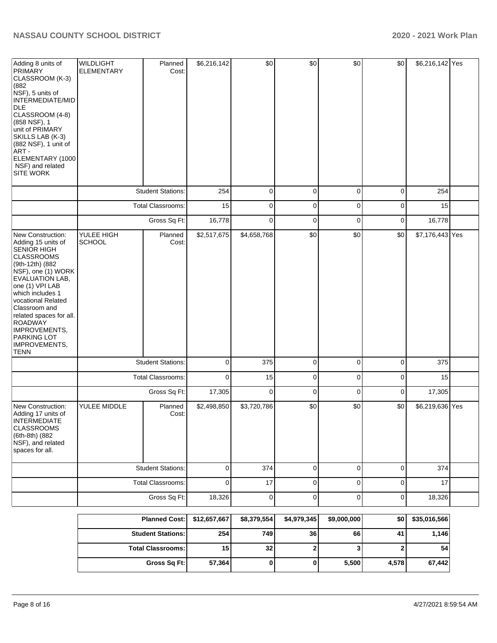| Adding 8 units of<br>PRIMARY<br>CLASSROOM (K-3)<br>(882)<br>NSF), 5 units of<br><b>INTERMEDIATE/MID</b><br>DLE<br>CLASSROOM (4-8)<br>(858 NSF), 1<br>unit of PRIMARY<br>SKILLS LAB (K-3)<br>(882 NSF), 1 unit of<br>ART -<br>ELEMENTARY (1000<br>NSF) and related<br><b>SITE WORK</b>                                              | <b>WILDLIGHT</b><br><b>ELEMENTARY</b> | Planned<br>Cost:         | \$6,216,142 | \$0         | \$0         | \$0         | \$0         | \$6,216,142 Yes |  |
|------------------------------------------------------------------------------------------------------------------------------------------------------------------------------------------------------------------------------------------------------------------------------------------------------------------------------------|---------------------------------------|--------------------------|-------------|-------------|-------------|-------------|-------------|-----------------|--|
|                                                                                                                                                                                                                                                                                                                                    |                                       | <b>Student Stations:</b> | 254         | $\pmb{0}$   | $\pmb{0}$   | 0           | 0           | 254             |  |
|                                                                                                                                                                                                                                                                                                                                    |                                       | Total Classrooms:        | 15          | $\pmb{0}$   | $\pmb{0}$   | 0           | 0           | 15              |  |
|                                                                                                                                                                                                                                                                                                                                    |                                       | Gross Sq Ft:             | 16,778      | $\mathbf 0$ | $\pmb{0}$   | $\mathbf 0$ | $\mathbf 0$ | 16,778          |  |
| New Construction:<br>Adding 15 units of<br>SENIOR HIGH<br><b>CLASSROOMS</b><br>(9th-12th) (882<br>NSF), one (1) WORK<br>EVALUATION LAB,<br>one (1) VPI LAB<br>which includes 1<br>vocational Related<br>Classroom and<br>related spaces for all.<br>ROADWAY<br>IMPROVEMENTS,<br><b>PARKING LOT</b><br>IMPROVEMENTS,<br><b>TENN</b> | YULEE HIGH<br><b>SCHOOL</b>           | Planned<br>Cost:         | \$2,517,675 | \$4,658,768 | \$0         | \$0         | \$0         | \$7,176,443 Yes |  |
|                                                                                                                                                                                                                                                                                                                                    |                                       | <b>Student Stations:</b> | 0           | 375         | 0           | 0           | 0           | 375             |  |
|                                                                                                                                                                                                                                                                                                                                    |                                       | Total Classrooms:        | $\mathbf 0$ | 15          | 0           | 0           | 0           | 15              |  |
|                                                                                                                                                                                                                                                                                                                                    |                                       | Gross Sq Ft:             | 17,305      | $\mathbf 0$ | 0           | 0           | 0           | 17,305          |  |
| New Construction:<br>Adding 17 units of<br>INTERMEDIATE<br><b>CLASSROOMS</b><br>(6th-8th) (882<br>NSF), and related<br>spaces for all.                                                                                                                                                                                             | YULEE MIDDLE                          | Planned<br>Cost:         | \$2,498,850 | \$3,720,786 | \$0         | \$0         | \$0         | \$6,219,636 Yes |  |
|                                                                                                                                                                                                                                                                                                                                    |                                       | <b>Student Stations:</b> | $\mathbf 0$ | 374         | $\mathbf 0$ | $\mathbf 0$ | $\mathbf 0$ | 374             |  |
|                                                                                                                                                                                                                                                                                                                                    |                                       | Total Classrooms:        | $\mathbf 0$ | 17          | $\mathbf 0$ | $\mathbf 0$ | $\mathbf 0$ | 17              |  |
|                                                                                                                                                                                                                                                                                                                                    |                                       | Gross Sq Ft:             | 18,326      | $\mathbf 0$ | $\mathbf 0$ | $\mathbf 0$ | $\mathbf 0$ | 18,326          |  |
|                                                                                                                                                                                                                                                                                                                                    |                                       |                          |             |             |             |             |             |                 |  |

| Planned Cost:   \$12,657,667 |        | \$8,379,554 | \$4,979,345     | \$9,000,000 | \$0   | \$35,016,566 |
|------------------------------|--------|-------------|-----------------|-------------|-------|--------------|
| <b>Student Stations:</b>     | 254    | 749         | 36 <sup>1</sup> | 66          | 41    | 1,146        |
| <b>Total Classrooms:</b>     | 15     | 32          |                 | J           |       | 54           |
| Gross Sq Ft:                 | 57,364 |             |                 | 5,500       | 4,578 | 67,442       |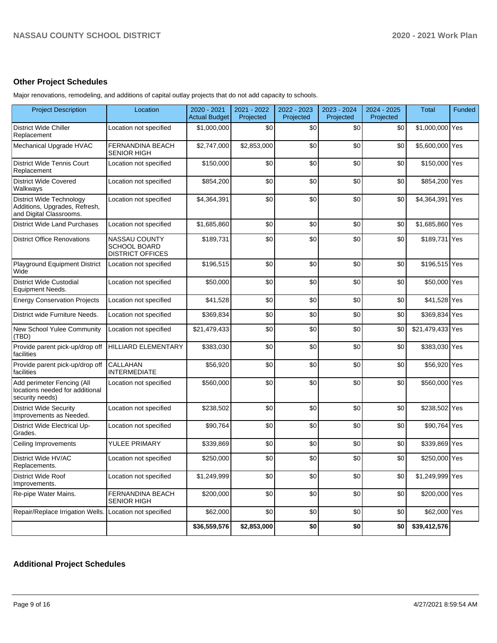## **Other Project Schedules**

Major renovations, remodeling, and additions of capital outlay projects that do not add capacity to schools.

| <b>Project Description</b>                                                                  | Location                                                               | 2020 - 2021<br><b>Actual Budget</b> | 2021 - 2022<br>Projected | 2022 - 2023<br>Projected | 2023 - 2024<br>Projected | 2024 - 2025<br>Projected | <b>Total</b>     | Funded |
|---------------------------------------------------------------------------------------------|------------------------------------------------------------------------|-------------------------------------|--------------------------|--------------------------|--------------------------|--------------------------|------------------|--------|
| <b>District Wide Chiller</b><br>Replacement                                                 | Location not specified                                                 | \$1,000,000                         | \$0                      | \$0                      | \$0                      | \$0                      | \$1,000,000 Yes  |        |
| Mechanical Upgrade HVAC                                                                     | <b>FERNANDINA BEACH</b><br><b>SENIOR HIGH</b>                          | \$2,747,000                         | \$2,853,000              | \$0                      | \$0                      | \$0                      | \$5,600,000 Yes  |        |
| <b>District Wide Tennis Court</b><br>Replacement                                            | Location not specified                                                 | \$150,000                           | \$0                      | \$0                      | \$0                      | \$0                      | \$150,000 Yes    |        |
| <b>District Wide Covered</b><br>Walkways                                                    | Location not specified                                                 | \$854,200                           | \$0                      | \$0                      | \$0                      | \$0                      | \$854,200 Yes    |        |
| <b>District Wide Technology</b><br>Additions, Upgrades, Refresh,<br>and Digital Classrooms. | Location not specified                                                 | \$4,364,391                         | \$0                      | \$0                      | \$0                      | \$0                      | \$4,364,391 Yes  |        |
| <b>District Wide Land Purchases</b>                                                         | Location not specified                                                 | \$1,685,860                         | \$0                      | \$0                      | \$0                      | \$0                      | \$1,685,860 Yes  |        |
| <b>District Office Renovations</b>                                                          | <b>NASSAU COUNTY</b><br><b>SCHOOL BOARD</b><br><b>DISTRICT OFFICES</b> | \$189,731                           | \$0                      | \$0                      | \$0                      | \$0                      | \$189,731 Yes    |        |
| Playground Equipment District<br>Wide                                                       | Location not specified                                                 | \$196,515                           | \$0                      | \$0                      | \$0                      | \$0                      | \$196,515 Yes    |        |
| <b>District Wide Custodial</b><br>Equipment Needs.                                          | Location not specified                                                 | \$50,000                            | \$0                      | \$0                      | \$0                      | \$0                      | \$50,000 Yes     |        |
| <b>Energy Conservation Projects</b>                                                         | Location not specified                                                 | \$41,528                            | \$0                      | \$0                      | \$0                      | \$0                      | \$41,528 Yes     |        |
| District wide Furniture Needs.                                                              | Location not specified                                                 | \$369,834                           | \$0                      | \$0                      | \$0                      | \$0                      | \$369,834 Yes    |        |
| New School Yulee Community<br>(TBD)                                                         | Location not specified                                                 | \$21,479,433                        | \$0                      | \$0                      | \$0                      | \$0                      | \$21,479,433 Yes |        |
| Provide parent pick-up/drop off<br>facilities                                               | <b>HILLIARD ELEMENTARY</b>                                             | \$383,030                           | \$0                      | \$0                      | \$0                      | \$0                      | \$383,030 Yes    |        |
| Provide parent pick-up/drop off<br>facilities                                               | CALLAHAN<br><b>INTERMEDIATE</b>                                        | \$56,920                            | \$0                      | \$0                      | \$0                      | \$0                      | \$56,920 Yes     |        |
| Add perimeter Fencing (All<br>locations needed for additional<br>security needs)            | Location not specified                                                 | \$560,000                           | \$0                      | \$0                      | \$0                      | \$0                      | \$560,000 Yes    |        |
| <b>District Wide Security</b><br>Improvements as Needed.                                    | Location not specified                                                 | \$238,502                           | \$0                      | \$0                      | \$0                      | \$0                      | \$238,502 Yes    |        |
| District Wide Electrical Up-<br>Grades.                                                     | Location not specified                                                 | \$90,764                            | \$0                      | \$0                      | \$0                      | \$0                      | \$90,764 Yes     |        |
| Ceiling Improvements                                                                        | YULEE PRIMARY                                                          | \$339,869                           | \$0                      | \$0                      | \$0                      | \$0                      | \$339,869 Yes    |        |
| District Wide HV/AC<br>Replacements.                                                        | Location not specified                                                 | \$250,000                           | \$0                      | \$0                      | \$0                      | \$0                      | \$250,000 Yes    |        |
| <b>District Wide Roof</b><br>Improvements.                                                  | Location not specified                                                 | \$1,249,999                         | \$0                      | \$0                      | \$0                      | \$0                      | \$1,249,999 Yes  |        |
| Re-pipe Water Mains.                                                                        | FERNANDINA BEACH<br><b>SENIOR HIGH</b>                                 | \$200,000                           | \$0                      | \$0                      | \$0                      | \$0                      | \$200,000 Yes    |        |
| Repair/Replace Irrigation Wells. Location not specified                                     |                                                                        | \$62,000                            | \$0                      | \$0                      | \$0                      | \$0                      | \$62,000 Yes     |        |
|                                                                                             |                                                                        | \$36,559,576                        | \$2,853,000              | \$0                      | \$0                      | \$0                      | \$39,412,576     |        |

## **Additional Project Schedules**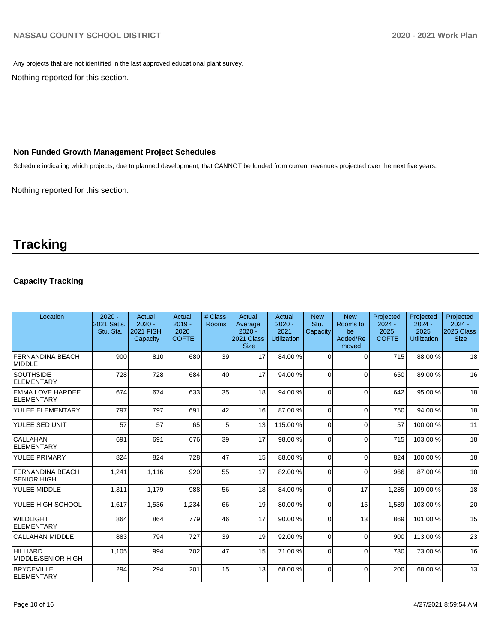Any projects that are not identified in the last approved educational plant survey.

Nothing reported for this section.

## **Non Funded Growth Management Project Schedules**

Schedule indicating which projects, due to planned development, that CANNOT be funded from current revenues projected over the next five years.

Nothing reported for this section.

## **Tracking**

## **Capacity Tracking**

| Location                                      | $2020 -$<br>2021 Satis.<br>Stu. Sta. | Actual<br>$2020 -$<br><b>2021 FISH</b><br>Capacity | Actual<br>$2019 -$<br>2020<br><b>COFTE</b> | # Class<br><b>Rooms</b> | Actual<br>Average<br>$2020 -$<br>2021 Class<br><b>Size</b> | Actual<br>$2020 -$<br>2021<br><b>Utilization</b> | <b>New</b><br>Stu.<br>Capacity | <b>New</b><br>Rooms to<br>be<br>Added/Re<br>moved | Projected<br>$2024 -$<br>2025<br><b>COFTE</b> | Projected<br>$2024 -$<br>2025<br><b>Utilization</b> | Projected<br>$2024 -$<br>2025 Class<br><b>Size</b> |
|-----------------------------------------------|--------------------------------------|----------------------------------------------------|--------------------------------------------|-------------------------|------------------------------------------------------------|--------------------------------------------------|--------------------------------|---------------------------------------------------|-----------------------------------------------|-----------------------------------------------------|----------------------------------------------------|
| <b>FERNANDINA BEACH</b><br><b>MIDDLE</b>      | 900                                  | 810                                                | 680                                        | 39                      | 17                                                         | 84.00 %                                          | $\Omega$                       | $\Omega$                                          | 715                                           | 88.00 %                                             | 18                                                 |
| <b>SOUTHSIDE</b><br><b>ELEMENTARY</b>         | 728                                  | 728                                                | 684                                        | 40                      | 17                                                         | 94.00%                                           | $\Omega$                       | $\Omega$                                          | 650                                           | 89.00 %                                             | 16                                                 |
| <b>EMMA LOVE HARDEE</b><br>ELEMENTARY         | 674                                  | 674                                                | 633                                        | 35                      | 18                                                         | 94.00%                                           | 0                              | $\Omega$                                          | 642                                           | 95.00 %                                             | 18                                                 |
| YULEE ELEMENTARY                              | 797                                  | 797                                                | 691                                        | 42                      | 16                                                         | 87.00 %                                          | $\Omega$                       | $\Omega$                                          | 750                                           | 94.00 %                                             | 18                                                 |
| YULEE SED UNIT                                | 57                                   | 57                                                 | 65                                         | 5                       | 13                                                         | 115.00 %                                         | 0                              | $\Omega$                                          | 57                                            | 100.00%                                             | 11                                                 |
| <b>CALLAHAN</b><br><b>ELEMENTARY</b>          | 691                                  | 691                                                | 676                                        | 39                      | 17                                                         | 98.00 %                                          | $\Omega$                       | $\Omega$                                          | 715                                           | 103.00%                                             | 18                                                 |
| YULEE PRIMARY                                 | 824                                  | 824                                                | 728                                        | 47                      | 15                                                         | 88.00 %                                          | 0                              | $\Omega$                                          | 824                                           | 100.00%                                             | 18                                                 |
| <b>FERNANDINA BEACH</b><br><b>SENIOR HIGH</b> | 1,241                                | 1,116                                              | 920                                        | 55                      | 17                                                         | 82.00 %                                          | 0                              | $\Omega$                                          | 966                                           | 87.00 %                                             | 18                                                 |
| YULEE MIDDLE                                  | 1,311                                | 1,179                                              | 988                                        | 56                      | 18                                                         | 84.00 %                                          | $\Omega$                       | 17                                                | 1,285                                         | 109.00%                                             | 18                                                 |
| YULEE HIGH SCHOOL                             | 1,617                                | 1,536                                              | 1,234                                      | 66                      | 19                                                         | 80.00 %                                          | $\Omega$                       | 15                                                | 1,589                                         | 103.00%                                             | 20                                                 |
| <b>WILDLIGHT</b><br>ELEMENTARY                | 864                                  | 864                                                | 779                                        | 46                      | 17                                                         | 90.00 %                                          | 0                              | 13                                                | 869                                           | 101.00%                                             | 15                                                 |
| CALLAHAN MIDDLE                               | 883                                  | 794                                                | 727                                        | 39                      | 19                                                         | 92.00 %                                          | $\Omega$                       | $\Omega$                                          | 900                                           | 113.00 %                                            | 23                                                 |
| HILLIARD<br>MIDDLE/SENIOR HIGH                | 1,105                                | 994                                                | 702                                        | 47                      | 15                                                         | 71.00 %                                          | 0                              | $\Omega$                                          | 730                                           | 73.00 %                                             | 16                                                 |
| <b>BRYCEVILLE</b><br>ELEMENTARY               | 294                                  | 294                                                | 201                                        | 15                      | 13                                                         | 68.00 %                                          | $\Omega$                       | $\Omega$                                          | 200                                           | 68.00 %                                             | 13                                                 |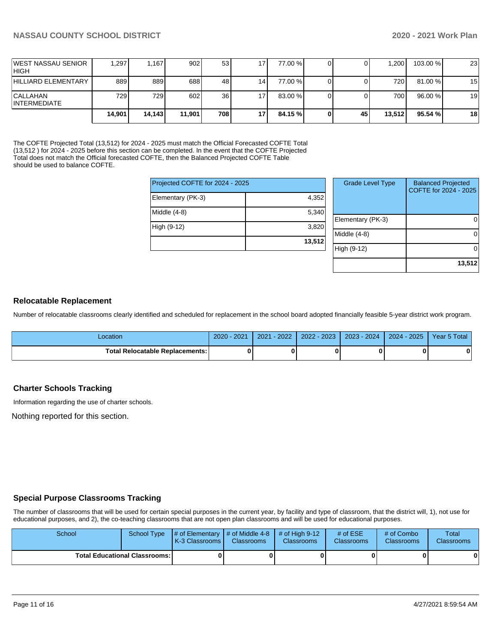**13,512**

|                                        | 14.901 | 14.143 | 11.901           | 708 | 17  | 84.15 % | 45 | 13.512 | 95.54 %l | 18 |
|----------------------------------------|--------|--------|------------------|-----|-----|---------|----|--------|----------|----|
| <b>CALLAHAN</b><br><b>INTERMEDIATE</b> | 729 l  | 7291   | 602              | 36  | 17  | 83.00 % |    | 700    | 96.00 %  | 19 |
| <b>HILLIARD ELEMENTARY</b>             | 889    | 889    | 688              | 48  | 14  | 77.00 % |    | 720    | 81.00 %  | 15 |
| IWEST NASSAU SENIOR<br>IHIGH           | 1.297  | 1.167  | 902 <sub>l</sub> | 53  | 171 | 77.00 % |    | 1.200  | 103.00 % | 23 |

The COFTE Projected Total (13,512) for 2024 - 2025 must match the Official Forecasted COFTE Total (13,512 ) for 2024 - 2025 before this section can be completed. In the event that the COFTE Projected Total does not match the Official forecasted COFTE, then the Balanced Projected COFTE Table should be used to balance COFTE.

| Projected COFTE for 2024 - 2025 |        | <b>Grade Level Type</b> | <b>Balanced Projected</b><br>COFTE for 2024 - 2025 |
|---------------------------------|--------|-------------------------|----------------------------------------------------|
| Elementary (PK-3)               | 4,352  |                         |                                                    |
| Middle (4-8)                    | 5,340  |                         |                                                    |
| High (9-12)                     | 3,820  | Elementary (PK-3)       |                                                    |
|                                 |        | Middle (4-8)            |                                                    |
|                                 | 13,512 | High (9-12)             |                                                    |

### **Relocatable Replacement**

Number of relocatable classrooms clearly identified and scheduled for replacement in the school board adopted financially feasible 5-year district work program.

| ∟ocation                                 | 2020 - 2021 | $-2022/$<br>2021 | 2022 - 2023 | $2023 - 2024$ | 2024 - 2025 | Year 5 Total |
|------------------------------------------|-------------|------------------|-------------|---------------|-------------|--------------|
| <b>Total Relocatable Replacements: I</b> |             |                  |             |               |             |              |

### **Charter Schools Tracking**

Information regarding the use of charter schools.

Nothing reported for this section.

## **Special Purpose Classrooms Tracking**

The number of classrooms that will be used for certain special purposes in the current year, by facility and type of classroom, that the district will, 1), not use for educational purposes, and 2), the co-teaching classrooms that are not open plan classrooms and will be used for educational purposes.

| School                                 |  | School Type $\left  \frac{1}{2}$ of Elementary $\left  \frac{1}{2}$ of Middle 4-8 $\left  \frac{1}{2}$ of High 9-12<br><b>K-3 Classrooms</b> | <b>Classrooms</b> | <b>Classrooms</b> | # of $ESE$<br><b>Classrooms</b> | # of Combo<br><b>Classrooms</b> | Total<br><b>Classrooms</b> |
|----------------------------------------|--|----------------------------------------------------------------------------------------------------------------------------------------------|-------------------|-------------------|---------------------------------|---------------------------------|----------------------------|
| <b>Total Educational Classrooms: I</b> |  |                                                                                                                                              | 01                |                   |                                 | 01                              | 0                          |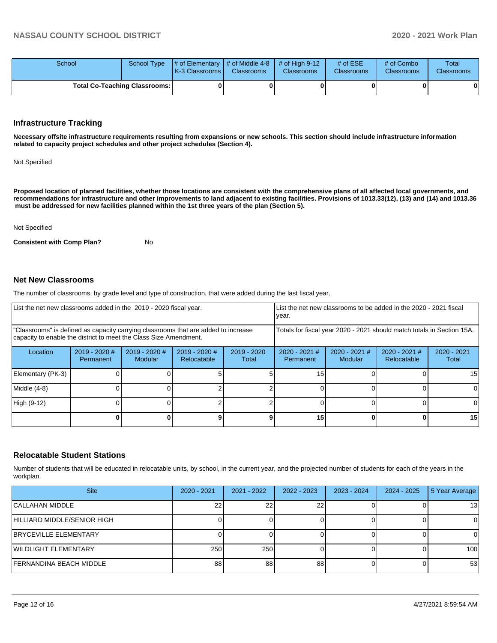| School                               |  | School Type $\parallel \#$ of Elementary $\parallel \#$ of Middle 4-8 $\parallel \#$ of High 9-12<br>K-3 Classrooms | <b>Classrooms</b> | <b>Classrooms</b> | # of $ESE$<br><b>Classrooms</b> | # of Combo<br><b>Classrooms</b> | Total<br><b>Classrooms</b> |
|--------------------------------------|--|---------------------------------------------------------------------------------------------------------------------|-------------------|-------------------|---------------------------------|---------------------------------|----------------------------|
| <b>Total Co-Teaching Classrooms:</b> |  |                                                                                                                     | 01                |                   | OΙ                              |                                 | 0                          |

### **Infrastructure Tracking**

**Necessary offsite infrastructure requirements resulting from expansions or new schools. This section should include infrastructure information related to capacity project schedules and other project schedules (Section 4).** 

Not Specified

**Proposed location of planned facilities, whether those locations are consistent with the comprehensive plans of all affected local governments, and recommendations for infrastructure and other improvements to land adjacent to existing facilities. Provisions of 1013.33(12), (13) and (14) and 1013.36 must be addressed for new facilities planned within the 1st three years of the plan (Section 5).** 

Not Specified

**Consistent with Comp Plan?** No

#### **Net New Classrooms**

The number of classrooms, by grade level and type of construction, that were added during the last fiscal year.

| List the net new classrooms added in the 2019 - 2020 fiscal year.                                                                                       |                              |                                   |                                |                        | List the net new classrooms to be added in the 2020 - 2021 fiscal<br>year. |                            |                                |                        |
|---------------------------------------------------------------------------------------------------------------------------------------------------------|------------------------------|-----------------------------------|--------------------------------|------------------------|----------------------------------------------------------------------------|----------------------------|--------------------------------|------------------------|
| "Classrooms" is defined as capacity carrying classrooms that are added to increase<br>capacity to enable the district to meet the Class Size Amendment. |                              |                                   |                                |                        | Totals for fiscal year 2020 - 2021 should match totals in Section 15A.     |                            |                                |                        |
| Location                                                                                                                                                | $2019 - 2020$ #<br>Permanent | $2019 - 2020$ #<br><b>Modular</b> | $2019 - 2020$ #<br>Relocatable | $2019 - 2020$<br>Total | $2020 - 2021$ #<br>Permanent                                               | $2020 - 2021$ #<br>Modular | $2020 - 2021$ #<br>Relocatable | $2020 - 2021$<br>Total |
| Elementary (PK-3)                                                                                                                                       |                              |                                   |                                |                        | 15                                                                         |                            |                                | 15                     |
| Middle (4-8)                                                                                                                                            |                              |                                   |                                |                        |                                                                            |                            |                                |                        |
| High (9-12)                                                                                                                                             |                              |                                   |                                |                        |                                                                            |                            |                                |                        |
|                                                                                                                                                         |                              |                                   |                                | 9                      | 15                                                                         |                            |                                | 15                     |

## **Relocatable Student Stations**

Number of students that will be educated in relocatable units, by school, in the current year, and the projected number of students for each of the years in the workplan.

| <b>Site</b>                  | $2020 - 2021$ | 2021 - 2022 | $2022 - 2023$   | 2023 - 2024 | $2024 - 2025$ | 5 Year Average   |
|------------------------------|---------------|-------------|-----------------|-------------|---------------|------------------|
| CALLAHAN MIDDLE              | n.            | 22          | 22 <sub>1</sub> |             |               | 131              |
| HILLIARD MIDDLE/SENIOR HIGH  |               |             |                 |             |               |                  |
| <b>BRYCEVILLE ELEMENTARY</b> |               |             |                 |             |               |                  |
| WILDLIGHT ELEMENTARY         | 250           | 250         |                 |             |               | 100 <sup>1</sup> |
| FERNANDINA BEACH MIDDLE      | 88            | 88          | 88              |             |               | 53               |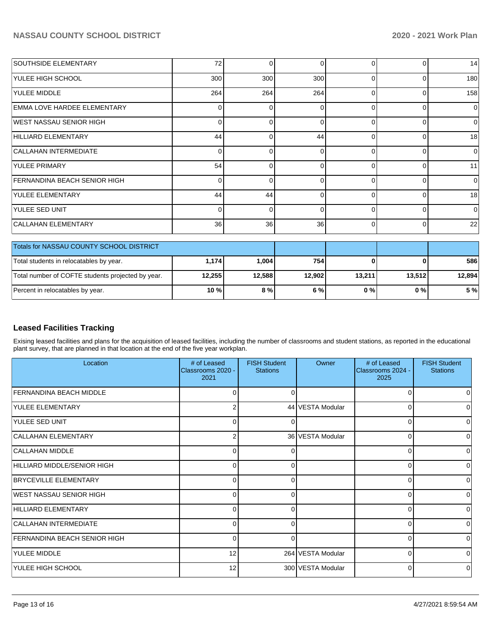| <b>SOUTHSIDE ELEMENTARY</b>              | 72       | $\Omega$ | $\Omega$        |          | U        | 14          |
|------------------------------------------|----------|----------|-----------------|----------|----------|-------------|
| <b>YULEE HIGH SCHOOL</b>                 | 300      | 300      | 300             | C        | 0        | 180         |
| YULEE MIDDLE                             | 264      | 264      | 264             | $\Omega$ | $\Omega$ | 158         |
| <b>EMMA LOVE HARDEE ELEMENTARY</b>       | $\Omega$ | $\Omega$ | 0               | $\Omega$ | 0        | $\Omega$    |
| WEST NASSAU SENIOR HIGH                  | 0        | $\Omega$ | 0               | ∩        | 0        | $\Omega$    |
| HILLIARD ELEMENTARY                      | 44       | 0        | 44              | $\Omega$ | 0        | 18          |
| <b>CALLAHAN INTERMEDIATE</b>             | $\Omega$ | $\Omega$ | 0               | r        | 0        | $\mathbf 0$ |
| <b>YULEE PRIMARY</b>                     | 54       | $\Omega$ | $\Omega$        | $\Omega$ | 0        | 11          |
| FERNANDINA BEACH SENIOR HIGH             | $\Omega$ | $\Omega$ | 0               | ſ        | 0        | $\mathbf 0$ |
| YULEE ELEMENTARY                         | 44       | 44       | 0               | ∩        | 0        | 18          |
| <b>YULEE SED UNIT</b>                    | $\Omega$ | $\Omega$ | 0               | 0        | 0        | $\mathbf 0$ |
| CALLAHAN ELEMENTARY                      | 36       | 36       | 36 <sup>1</sup> | $\Omega$ | 0        | 22          |
|                                          |          |          |                 |          |          |             |
| Totals for NASSAU COUNTY SCHOOL DISTRICT |          |          |                 |          |          |             |
| Total students in relocatables by year.  | 1,174    | 1,004    | 754             | 0        | 0        | 586         |

## **Leased Facilities Tracking**

Exising leased facilities and plans for the acquisition of leased facilities, including the number of classrooms and student stations, as reported in the educational plant survey, that are planned in that location at the end of the five year workplan.

Total number of COFTE students projected by year. **12,255 12,588 12,902 13,211 13,512 12,894** Percent in relocatables by year. **10 % 8 % 6 % 0 % 0 % 5 %**

| Location                            | # of Leased<br>Classrooms 2020 -<br>2021 | <b>FISH Student</b><br><b>Stations</b> | Owner             | # of Leased<br>Classrooms 2024 -<br>2025 | <b>FISH Student</b><br><b>Stations</b> |
|-------------------------------------|------------------------------------------|----------------------------------------|-------------------|------------------------------------------|----------------------------------------|
| <b>FERNANDINA BEACH MIDDLE</b>      |                                          | 0                                      |                   |                                          |                                        |
| YULEE ELEMENTARY                    | 2                                        |                                        | 44 VESTA Modular  | $\Omega$                                 | U                                      |
| YULEE SED UNIT                      | 0                                        | 0                                      |                   | 0                                        | 0                                      |
| CALLAHAN ELEMENTARY                 | 2                                        |                                        | 36 VESTA Modular  | $\Omega$                                 | 0                                      |
| <b>CALLAHAN MIDDLE</b>              | 0                                        | 0                                      |                   | $\Omega$                                 | 0                                      |
| HILLIARD MIDDLE/SENIOR HIGH         | 0                                        | $\Omega$                               |                   | ∩                                        | 0                                      |
| <b>BRYCEVILLE ELEMENTARY</b>        | 0                                        | 0                                      |                   | 0                                        | 0                                      |
| WEST NASSAU SENIOR HIGH             | <sup>0</sup>                             | n                                      |                   | n                                        | 0                                      |
| HILLIARD ELEMENTARY                 | 0                                        | 0                                      |                   | $\Omega$                                 | 0                                      |
| CALLAHAN INTERMEDIATE               | <sup>0</sup>                             | O                                      |                   | n                                        | 0                                      |
| <b>FERNANDINA BEACH SENIOR HIGH</b> | 0                                        | 0                                      |                   | $\Omega$                                 | 0                                      |
| YULEE MIDDLE                        | 12                                       |                                        | 264 VESTA Modular | $\Omega$                                 | $\Omega$                               |
| YULEE HIGH SCHOOL                   | 12                                       |                                        | 300 VESTA Modular | $\Omega$                                 | 0                                      |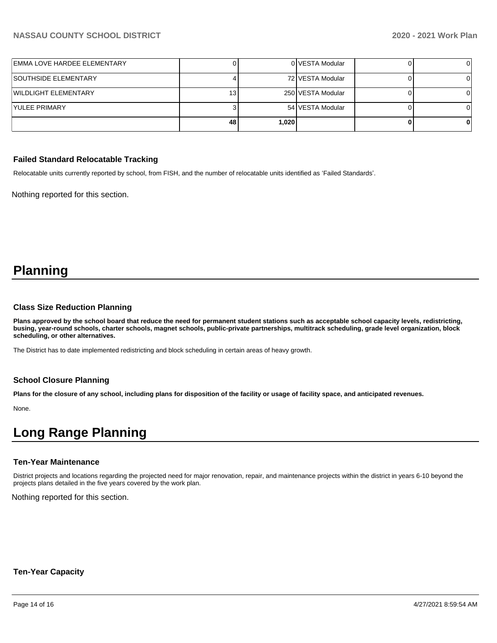| EMMA LOVE HARDEE ELEMENTARY |     |       | 0 VESTA Modular   |  |
|-----------------------------|-----|-------|-------------------|--|
| <b>SOUTHSIDE ELEMENTARY</b> |     |       | 72 VESTA Modular  |  |
| WILDLIGHT ELEMENTARY        | 13. |       | 250 VESTA Modular |  |
| lYULEE PRIMARY              |     |       | 54 VESTA Modular  |  |
|                             | 48  | 1,020 |                   |  |

### **Failed Standard Relocatable Tracking**

Relocatable units currently reported by school, from FISH, and the number of relocatable units identified as 'Failed Standards'.

Nothing reported for this section.

## **Planning**

#### **Class Size Reduction Planning**

**Plans approved by the school board that reduce the need for permanent student stations such as acceptable school capacity levels, redistricting, busing, year-round schools, charter schools, magnet schools, public-private partnerships, multitrack scheduling, grade level organization, block scheduling, or other alternatives.**

The District has to date implemented redistricting and block scheduling in certain areas of heavy growth.

### **School Closure Planning**

**Plans for the closure of any school, including plans for disposition of the facility or usage of facility space, and anticipated revenues.** 

None.

## **Long Range Planning**

#### **Ten-Year Maintenance**

District projects and locations regarding the projected need for major renovation, repair, and maintenance projects within the district in years 6-10 beyond the projects plans detailed in the five years covered by the work plan.

Nothing reported for this section.

#### **Ten-Year Capacity**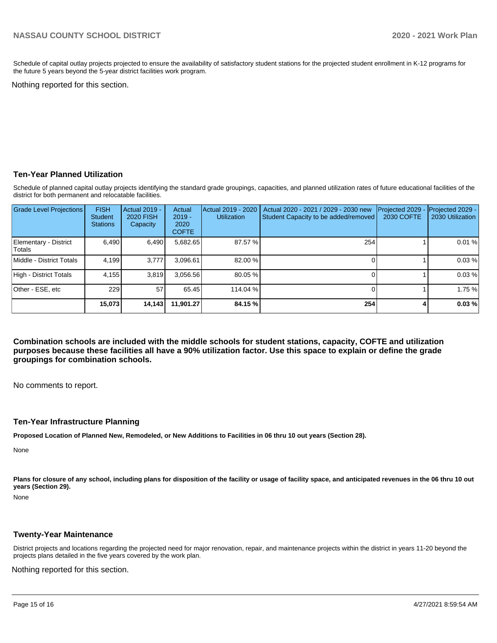Schedule of capital outlay projects projected to ensure the availability of satisfactory student stations for the projected student enrollment in K-12 programs for the future 5 years beyond the 5-year district facilities work program.

Nothing reported for this section.

## **Ten-Year Planned Utilization**

Schedule of planned capital outlay projects identifying the standard grade groupings, capacities, and planned utilization rates of future educational facilities of the district for both permanent and relocatable facilities.

| <b>Grade Level Projections</b>   | <b>FISH</b><br><b>Student</b><br><b>Stations</b> | <b>Actual 2019 -</b><br><b>2020 FISH</b><br>Capacity | Actual<br>$2019 -$<br>2020<br><b>COFTE</b> | Actual 2019 - 2020<br><b>Utilization</b> | Actual 2020 - 2021 / 2029 - 2030 new<br>Student Capacity to be added/removed | Projected 2029<br>2030 COFTE | Projected 2029 -<br>2030 Utilization |
|----------------------------------|--------------------------------------------------|------------------------------------------------------|--------------------------------------------|------------------------------------------|------------------------------------------------------------------------------|------------------------------|--------------------------------------|
| Elementary - District<br> Totals | 6.490                                            | 6,490                                                | 5,682.65                                   | 87.57 %                                  | 254                                                                          |                              | 0.01%                                |
| Middle - District Totals         | 4.199                                            | 3.777                                                | 3,096.61                                   | 82.00 %                                  |                                                                              |                              | 0.03%                                |
| High - District Totals           | 4,155                                            | 3.819                                                | 3,056.56                                   | 80.05 %                                  |                                                                              |                              | 0.03%                                |
| Other - ESE, etc                 | 229                                              | 57                                                   | 65.45                                      | 114.04 %                                 |                                                                              |                              | 1.75 %                               |
|                                  | 15.073                                           | 14,143                                               | 11.901.27                                  | 84.15 %                                  | 254                                                                          |                              | 0.03%                                |

**Combination schools are included with the middle schools for student stations, capacity, COFTE and utilization purposes because these facilities all have a 90% utilization factor. Use this space to explain or define the grade groupings for combination schools.** 

No comments to report.

#### **Ten-Year Infrastructure Planning**

**Proposed Location of Planned New, Remodeled, or New Additions to Facilities in 06 thru 10 out years (Section 28).**

None

Plans for closure of any school, including plans for disposition of the facility or usage of facility space, and anticipated revenues in the 06 thru 10 out **years (Section 29).**

None

#### **Twenty-Year Maintenance**

District projects and locations regarding the projected need for major renovation, repair, and maintenance projects within the district in years 11-20 beyond the projects plans detailed in the five years covered by the work plan.

Nothing reported for this section.